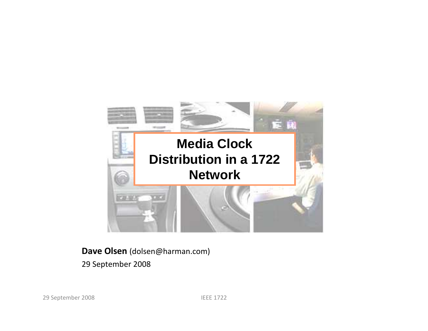

#### Dave Olsen (dolsen@harman.com)

29 September 2008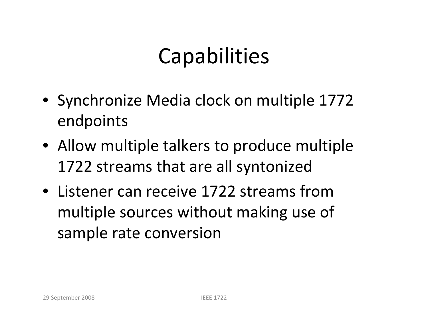# Capabilities

- Synchronize Media clock on multiple 1772 endpoints
- Allow multiple talkers to produce multiple 1722 streams that are all syntonized
- Listener can receive 1722 streams from multiple sources without making use of sample rate conversion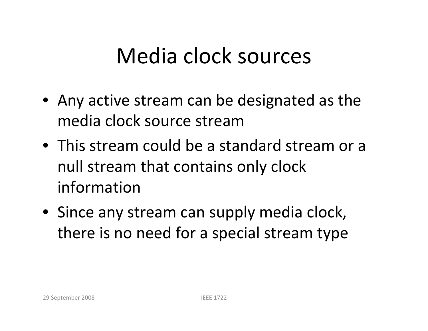# Media clock sources

- Any active stream can be designated as the media clock source stream
- This stream could be a standard stream or a null stream that contains only clock information
- Since any stream can supply media clock, there is no need for a special stream type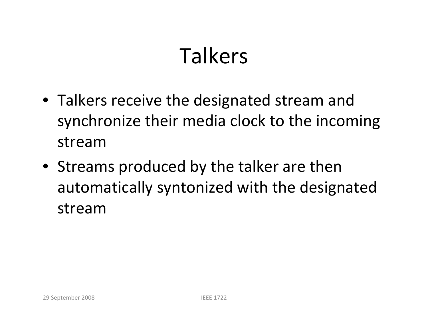# Talkers

- Talkers receive the designated stream and synchronize their media clock to the incoming stream
- Streams produced by the talker are then automatically syntonized with the designated stream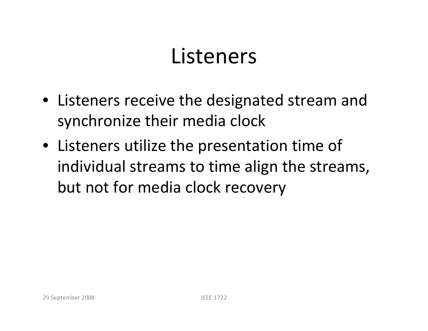## Listeners

- Listeners receive the designated stream and synchronize their media clock
- Listeners utilize the presentation time of individual streams to time align the streams, but not for media clock recovery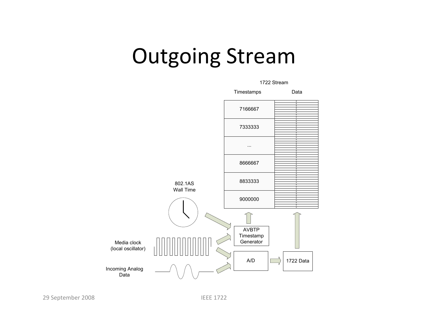## Outgoing Stream



29 September 2008

IEEE 1722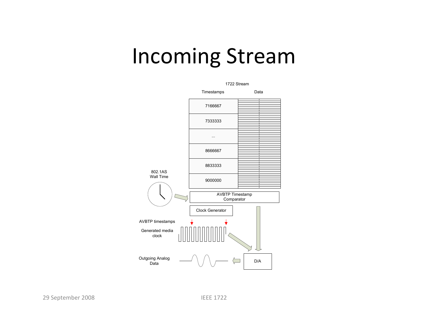#### Incoming Stream



29 September 2008

IEEE 1722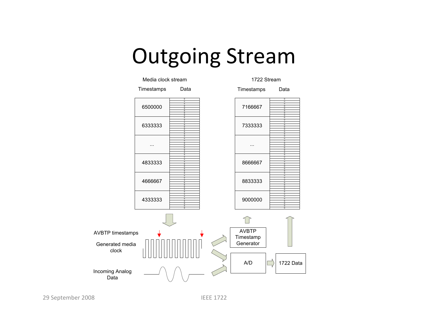#### Outgoing Stream

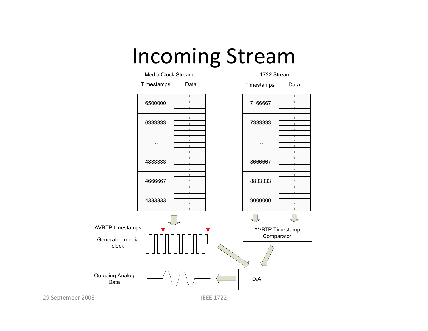#### Incoming Stream



29 September 2008

IEEE 1722